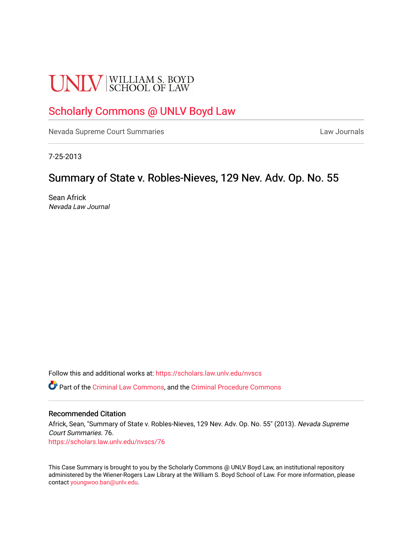# **UNLV** SCHOOL OF LAW

## [Scholarly Commons @ UNLV Boyd Law](https://scholars.law.unlv.edu/)

[Nevada Supreme Court Summaries](https://scholars.law.unlv.edu/nvscs) **Law Journals** Law Journals

7-25-2013

### Summary of State v. Robles-Nieves, 129 Nev. Adv. Op. No. 55

Sean Africk Nevada Law Journal

Follow this and additional works at: [https://scholars.law.unlv.edu/nvscs](https://scholars.law.unlv.edu/nvscs?utm_source=scholars.law.unlv.edu%2Fnvscs%2F76&utm_medium=PDF&utm_campaign=PDFCoverPages)

Part of the [Criminal Law Commons,](http://network.bepress.com/hgg/discipline/912?utm_source=scholars.law.unlv.edu%2Fnvscs%2F76&utm_medium=PDF&utm_campaign=PDFCoverPages) and the [Criminal Procedure Commons](http://network.bepress.com/hgg/discipline/1073?utm_source=scholars.law.unlv.edu%2Fnvscs%2F76&utm_medium=PDF&utm_campaign=PDFCoverPages)

#### Recommended Citation

Africk, Sean, "Summary of State v. Robles-Nieves, 129 Nev. Adv. Op. No. 55" (2013). Nevada Supreme Court Summaries. 76. [https://scholars.law.unlv.edu/nvscs/76](https://scholars.law.unlv.edu/nvscs/76?utm_source=scholars.law.unlv.edu%2Fnvscs%2F76&utm_medium=PDF&utm_campaign=PDFCoverPages) 

This Case Summary is brought to you by the Scholarly Commons @ UNLV Boyd Law, an institutional repository administered by the Wiener-Rogers Law Library at the William S. Boyd School of Law. For more information, please contact [youngwoo.ban@unlv.edu](mailto:youngwoo.ban@unlv.edu).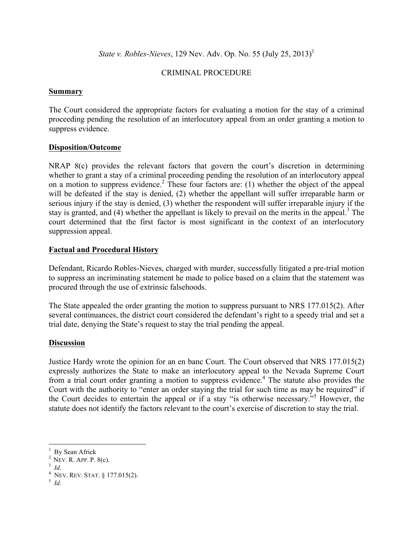*State v. Robles-Nieves*, 129 Nev. Adv. Op. No. 55 (July 25, 2013)<sup>1</sup>

#### CRIMINAL PROCEDURE

#### **Summary**

The Court considered the appropriate factors for evaluating a motion for the stay of a criminal proceeding pending the resolution of an interlocutory appeal from an order granting a motion to suppress evidence.

#### **Disposition/Outcome**

NRAP 8(c) provides the relevant factors that govern the court's discretion in determining whether to grant a stay of a criminal proceeding pending the resolution of an interlocutory appeal on a motion to suppress evidence.2 These four factors are: (1) whether the object of the appeal will be defeated if the stay is denied, (2) whether the appellant will suffer irreparable harm or serious injury if the stay is denied, (3) whether the respondent will suffer irreparable injury if the stay is granted, and (4) whether the appellant is likely to prevail on the merits in the appeal.<sup>3</sup> The court determined that the first factor is most significant in the context of an interlocutory suppression appeal.

#### **Factual and Procedural History**

Defendant, Ricardo Robles-Nieves, charged with murder, successfully litigated a pre-trial motion to suppress an incriminating statement he made to police based on a claim that the statement was procured through the use of extrinsic falsehoods.

The State appealed the order granting the motion to suppress pursuant to NRS 177.015(2). After several continuances, the district court considered the defendant's right to a speedy trial and set a trial date, denying the State's request to stay the trial pending the appeal.

#### **Discussion**

Justice Hardy wrote the opinion for an en banc Court. The Court observed that NRS 177.015(2) expressly authorizes the State to make an interlocutory appeal to the Nevada Supreme Court from a trial court order granting a motion to suppress evidence.<sup>4</sup> The statute also provides the Court with the authority to "enter an order staying the trial for such time as may be required" if the Court decides to entertain the appeal or if a stay "is otherwise necessary."<sup>5</sup> However, the statute does not identify the factors relevant to the court's exercise of discretion to stay the trial.

<sup>&</sup>lt;sup>1</sup> By Sean Africk<br>
<sup>2</sup> NEV. R. APP. P. 8(c).<br>
<sup>3</sup> *Id.*<br>
<sup>4</sup> NEV. REV. STAT. § 177.015(2).<br>
5 *Id.*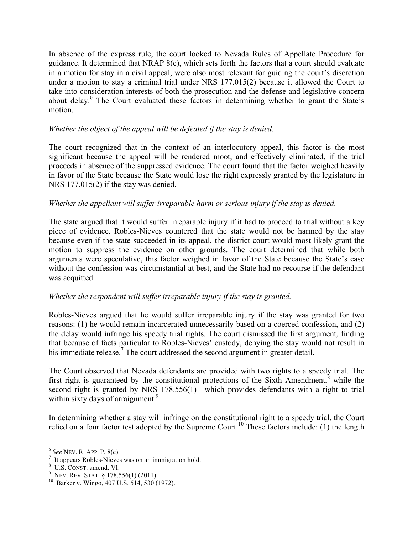In absence of the express rule, the court looked to Nevada Rules of Appellate Procedure for guidance. It determined that NRAP 8(c), which sets forth the factors that a court should evaluate in a motion for stay in a civil appeal, were also most relevant for guiding the court's discretion under a motion to stay a criminal trial under NRS 177.015(2) because it allowed the Court to take into consideration interests of both the prosecution and the defense and legislative concern about delay.<sup>6</sup> The Court evaluated these factors in determining whether to grant the State's motion.

#### *Whether the object of the appeal will be defeated if the stay is denied.*

The court recognized that in the context of an interlocutory appeal, this factor is the most significant because the appeal will be rendered moot, and effectively eliminated, if the trial proceeds in absence of the suppressed evidence. The court found that the factor weighed heavily in favor of the State because the State would lose the right expressly granted by the legislature in NRS 177.015(2) if the stay was denied.

#### *Whether the appellant will suffer irreparable harm or serious injury if the stay is denied.*

The state argued that it would suffer irreparable injury if it had to proceed to trial without a key piece of evidence. Robles-Nieves countered that the state would not be harmed by the stay because even if the state succeeded in its appeal, the district court would most likely grant the motion to suppress the evidence on other grounds. The court determined that while both arguments were speculative, this factor weighed in favor of the State because the State's case without the confession was circumstantial at best, and the State had no recourse if the defendant was acquitted.

#### *Whether the respondent will suffer irreparable injury if the stay is granted.*

Robles-Nieves argued that he would suffer irreparable injury if the stay was granted for two reasons: (1) he would remain incarcerated unnecessarily based on a coerced confession, and (2) the delay would infringe his speedy trial rights. The court dismissed the first argument, finding that because of facts particular to Robles-Nieves' custody, denying the stay would not result in his immediate release.<sup>7</sup> The court addressed the second argument in greater detail.

The Court observed that Nevada defendants are provided with two rights to a speedy trial. The first right is guaranteed by the constitutional protections of the Sixth Amendment, $\delta$  while the second right is granted by NRS 178.556(1)—which provides defendants with a right to trial within sixty days of arraignment.<sup>9</sup>

In determining whether a stay will infringe on the constitutional right to a speedy trial, the Court relied on a four factor test adopted by the Supreme Court.<sup>10</sup> These factors include: (1) the length

<sup>&</sup>lt;sup>6</sup> *See* NEV. R. APP. P. 8(c).<br><sup>7</sup> It appears Robles-Nieves was on an immigration hold.<br><sup>8</sup> U.S. CONST. amend. VI.<br><sup>9</sup> NEV. REV. STAT. § 178.556(1) (2011).<br><sup>10</sup> Barker v. Wingo, 407 U.S. 514, 530 (1972).